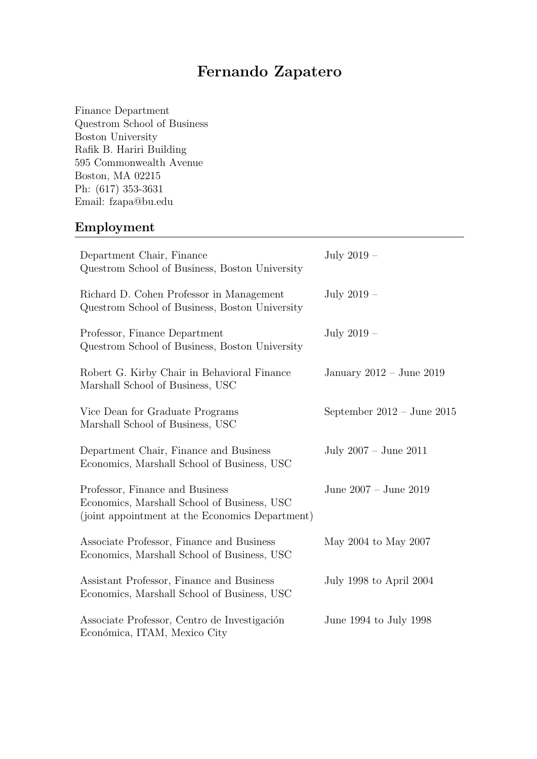# Fernando Zapatero

Finance Department Questrom School of Business Boston University Rafik B. Hariri Building 595 Commonwealth Avenue Boston, MA 02215 Ph: (617) 353-3631 Email: fzapa@bu.edu

# Employment

| Department Chair, Finance<br>Questrom School of Business, Boston University                                                       | July $2019 -$                |
|-----------------------------------------------------------------------------------------------------------------------------------|------------------------------|
| Richard D. Cohen Professor in Management<br>Questrom School of Business, Boston University                                        | July $2019 -$                |
| Professor, Finance Department<br>Questrom School of Business, Boston University                                                   | July $2019-$                 |
| Robert G. Kirby Chair in Behavioral Finance<br>Marshall School of Business, USC                                                   | January $2012 -$ June $2019$ |
| Vice Dean for Graduate Programs<br>Marshall School of Business, USC                                                               | September $2012 - June 2015$ |
| Department Chair, Finance and Business<br>Economics, Marshall School of Business, USC                                             | July $2007 -$ June $2011$    |
| Professor, Finance and Business<br>Economics, Marshall School of Business, USC<br>(joint appointment at the Economics Department) | June 2007 - June 2019        |
| Associate Professor, Finance and Business<br>Economics, Marshall School of Business, USC                                          | May 2004 to May 2007         |
| Assistant Professor, Finance and Business<br>Economics, Marshall School of Business, USC                                          | July 1998 to April 2004      |
| Associate Professor, Centro de Investigación<br>Económica, ITAM, Mexico City                                                      | June 1994 to July 1998       |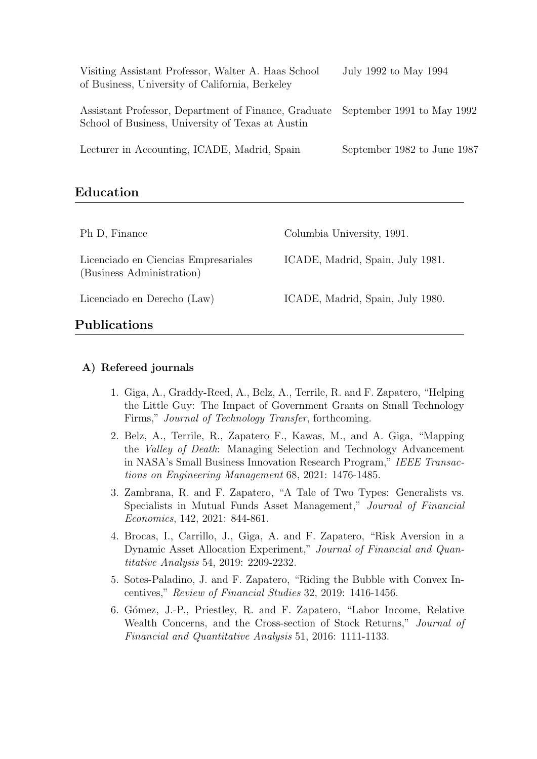| Visiting Assistant Professor, Walter A. Haas School<br>of Business, University of California, Berkeley                               | July 1992 to May 1994       |
|--------------------------------------------------------------------------------------------------------------------------------------|-----------------------------|
| Assistant Professor, Department of Finance, Graduate September 1991 to May 1992<br>School of Business, University of Texas at Austin |                             |
| Lecturer in Accounting, ICADE, Madrid, Spain                                                                                         | September 1982 to June 1987 |

## Education

| Ph D, Finance                                                     | Columbia University, 1991.       |
|-------------------------------------------------------------------|----------------------------------|
| Licenciado en Ciencias Empresariales<br>(Business Administration) | ICADE, Madrid, Spain, July 1981. |
| Licenciado en Derecho (Law)                                       | ICADE, Madrid, Spain, July 1980. |
| Publications                                                      |                                  |

## A) Refereed journals

- 1. Giga, A., Graddy-Reed, A., Belz, A., Terrile, R. and F. Zapatero, "Helping the Little Guy: The Impact of Government Grants on Small Technology Firms," Journal of Technology Transfer, forthcoming.
- 2. Belz, A., Terrile, R., Zapatero F., Kawas, M., and A. Giga, "Mapping the Valley of Death: Managing Selection and Technology Advancement in NASA's Small Business Innovation Research Program," IEEE Transactions on Engineering Management 68, 2021: 1476-1485.
- 3. Zambrana, R. and F. Zapatero, "A Tale of Two Types: Generalists vs. Specialists in Mutual Funds Asset Management," Journal of Financial Economics, 142, 2021: 844-861.
- 4. Brocas, I., Carrillo, J., Giga, A. and F. Zapatero, "Risk Aversion in a Dynamic Asset Allocation Experiment," Journal of Financial and Quantitative Analysis 54, 2019: 2209-2232.
- 5. Sotes-Paladino, J. and F. Zapatero, "Riding the Bubble with Convex Incentives," Review of Financial Studies 32, 2019: 1416-1456.
- 6. G´omez, J.-P., Priestley, R. and F. Zapatero, "Labor Income, Relative Wealth Concerns, and the Cross-section of Stock Returns," Journal of Financial and Quantitative Analysis 51, 2016: 1111-1133.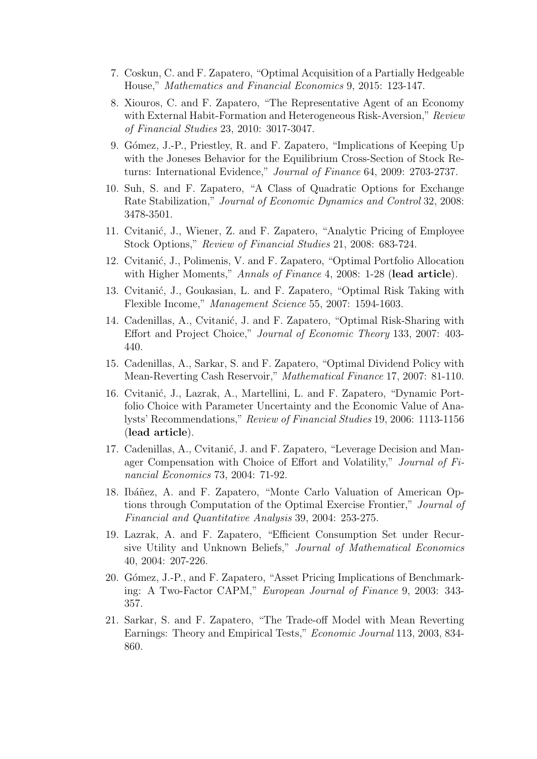- 7. Coskun, C. and F. Zapatero, "Optimal Acquisition of a Partially Hedgeable House," Mathematics and Financial Economics 9, 2015: 123-147.
- 8. Xiouros, C. and F. Zapatero, "The Representative Agent of an Economy with External Habit-Formation and Heterogeneous Risk-Aversion," Review of Financial Studies 23, 2010: 3017-3047.
- 9. Gómez, J.-P., Priestley, R. and F. Zapatero, "Implications of Keeping Up with the Joneses Behavior for the Equilibrium Cross-Section of Stock Returns: International Evidence," Journal of Finance 64, 2009: 2703-2737.
- 10. Suh, S. and F. Zapatero, "A Class of Quadratic Options for Exchange Rate Stabilization," Journal of Economic Dynamics and Control 32, 2008: 3478-3501.
- 11. Cvitanić, J., Wiener, Z. and F. Zapatero, "Analytic Pricing of Employee Stock Options," Review of Financial Studies 21, 2008: 683-724.
- 12. Cvitanić, J., Polimenis, V. and F. Zapatero, "Optimal Portfolio Allocation" with Higher Moments," Annals of Finance 4, 2008: 1-28 (lead article).
- 13. Cvitanić, J., Goukasian, L. and F. Zapatero, "Optimal Risk Taking with Flexible Income," Management Science 55, 2007: 1594-1603.
- 14. Cadenillas, A., Cvitanić, J. and F. Zapatero, "Optimal Risk-Sharing with Effort and Project Choice," Journal of Economic Theory 133, 2007: 403- 440.
- 15. Cadenillas, A., Sarkar, S. and F. Zapatero, "Optimal Dividend Policy with Mean-Reverting Cash Reservoir," Mathematical Finance 17, 2007: 81-110.
- 16. Cvitanić, J., Lazrak, A., Martellini, L. and F. Zapatero, "Dynamic Portfolio Choice with Parameter Uncertainty and the Economic Value of Analysts' Recommendations," Review of Financial Studies 19, 2006: 1113-1156 (lead article).
- 17. Cadenillas, A., Cvitanić, J. and F. Zapatero, "Leverage Decision and Manager Compensation with Choice of Effort and Volatility," Journal of Financial Economics 73, 2004: 71-92.
- 18. Ibáñez, A. and F. Zapatero, "Monte Carlo Valuation of American Options through Computation of the Optimal Exercise Frontier," Journal of Financial and Quantitative Analysis 39, 2004: 253-275.
- 19. Lazrak, A. and F. Zapatero, "Efficient Consumption Set under Recursive Utility and Unknown Beliefs," Journal of Mathematical Economics 40, 2004: 207-226.
- 20. Gómez, J.-P., and F. Zapatero, "Asset Pricing Implications of Benchmarking: A Two-Factor CAPM," European Journal of Finance 9, 2003: 343- 357.
- 21. Sarkar, S. and F. Zapatero, "The Trade-off Model with Mean Reverting Earnings: Theory and Empirical Tests," Economic Journal 113, 2003, 834- 860.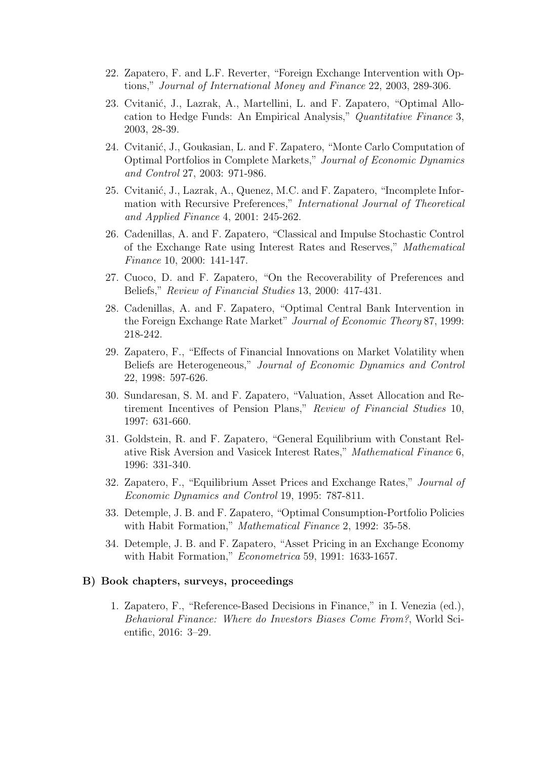- 22. Zapatero, F. and L.F. Reverter, "Foreign Exchange Intervention with Options," Journal of International Money and Finance 22, 2003, 289-306.
- 23. Cvitanić, J., Lazrak, A., Martellini, L. and F. Zapatero, "Optimal Allocation to Hedge Funds: An Empirical Analysis," Quantitative Finance 3, 2003, 28-39.
- 24. Cvitanić, J., Goukasian, L. and F. Zapatero, "Monte Carlo Computation of Optimal Portfolios in Complete Markets," Journal of Economic Dynamics and Control 27, 2003: 971-986.
- 25. Cvitanić, J., Lazrak, A., Quenez, M.C. and F. Zapatero, "Incomplete Information with Recursive Preferences," International Journal of Theoretical and Applied Finance 4, 2001: 245-262.
- 26. Cadenillas, A. and F. Zapatero, "Classical and Impulse Stochastic Control of the Exchange Rate using Interest Rates and Reserves," Mathematical Finance 10, 2000: 141-147.
- 27. Cuoco, D. and F. Zapatero, "On the Recoverability of Preferences and Beliefs," Review of Financial Studies 13, 2000: 417-431.
- 28. Cadenillas, A. and F. Zapatero, "Optimal Central Bank Intervention in the Foreign Exchange Rate Market" Journal of Economic Theory 87, 1999: 218-242.
- 29. Zapatero, F., "Effects of Financial Innovations on Market Volatility when Beliefs are Heterogeneous," Journal of Economic Dynamics and Control 22, 1998: 597-626.
- 30. Sundaresan, S. M. and F. Zapatero, "Valuation, Asset Allocation and Retirement Incentives of Pension Plans," Review of Financial Studies 10, 1997: 631-660.
- 31. Goldstein, R. and F. Zapatero, "General Equilibrium with Constant Relative Risk Aversion and Vasicek Interest Rates," Mathematical Finance 6, 1996: 331-340.
- 32. Zapatero, F., "Equilibrium Asset Prices and Exchange Rates," Journal of Economic Dynamics and Control 19, 1995: 787-811.
- 33. Detemple, J. B. and F. Zapatero, "Optimal Consumption-Portfolio Policies with Habit Formation," Mathematical Finance 2, 1992: 35-58.
- 34. Detemple, J. B. and F. Zapatero, "Asset Pricing in an Exchange Economy with Habit Formation," Econometrica 59, 1991: 1633-1657.

#### B) Book chapters, surveys, proceedings

1. Zapatero, F., "Reference-Based Decisions in Finance," in I. Venezia (ed.), Behavioral Finance: Where do Investors Biases Come From?, World Scientific, 2016: 3–29.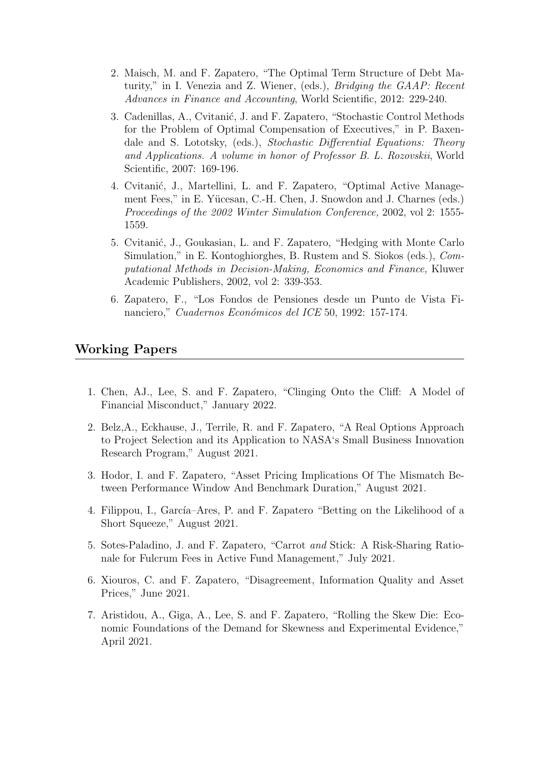- 2. Maisch, M. and F. Zapatero, "The Optimal Term Structure of Debt Maturity," in I. Venezia and Z. Wiener, (eds.), Bridging the GAAP: Recent Advances in Finance and Accounting, World Scientific, 2012: 229-240.
- 3. Cadenillas, A., Cvitanić, J. and F. Zapatero, "Stochastic Control Methods for the Problem of Optimal Compensation of Executives," in P. Baxendale and S. Lototsky, (eds.), Stochastic Differential Equations: Theory and Applications. A volume in honor of Professor B. L. Rozovskii, World Scientific, 2007: 169-196.
- 4. Cvitanić, J., Martellini, L. and F. Zapatero, "Optimal Active Management Fees," in E. Yücesan, C.-H. Chen, J. Snowdon and J. Charnes (eds.) Proceedings of the 2002 Winter Simulation Conference, 2002, vol 2: 1555- 1559.
- 5. Cvitani´c, J., Goukasian, L. and F. Zapatero, "Hedging with Monte Carlo Simulation," in E. Kontoghiorghes, B. Rustem and S. Siokos (eds.), Computational Methods in Decision-Making, Economics and Finance, Kluwer Academic Publishers, 2002, vol 2: 339-353.
- 6. Zapatero, F., "Los Fondos de Pensiones desde un Punto de Vista Financiero," Cuadernos Económicos del ICE 50, 1992: 157-174.

### Working Papers

- 1. Chen, AJ., Lee, S. and F. Zapatero, "Clinging Onto the Cliff: A Model of Financial Misconduct," January 2022.
- 2. Belz,A., Eckhause, J., Terrile, R. and F. Zapatero, "A Real Options Approach to Project Selection and its Application to NASA's Small Business Innovation Research Program," August 2021.
- 3. Hodor, I. and F. Zapatero, "Asset Pricing Implications Of The Mismatch Between Performance Window And Benchmark Duration," August 2021.
- 4. Filippou, I., García–Ares, P. and F. Zapatero "Betting on the Likelihood of a Short Squeeze," August 2021.
- 5. Sotes-Paladino, J. and F. Zapatero, "Carrot and Stick: A Risk-Sharing Rationale for Fulcrum Fees in Active Fund Management," July 2021.
- 6. Xiouros, C. and F. Zapatero, "Disagreement, Information Quality and Asset Prices," June 2021.
- 7. Aristidou, A., Giga, A., Lee, S. and F. Zapatero, "Rolling the Skew Die: Economic Foundations of the Demand for Skewness and Experimental Evidence," April 2021.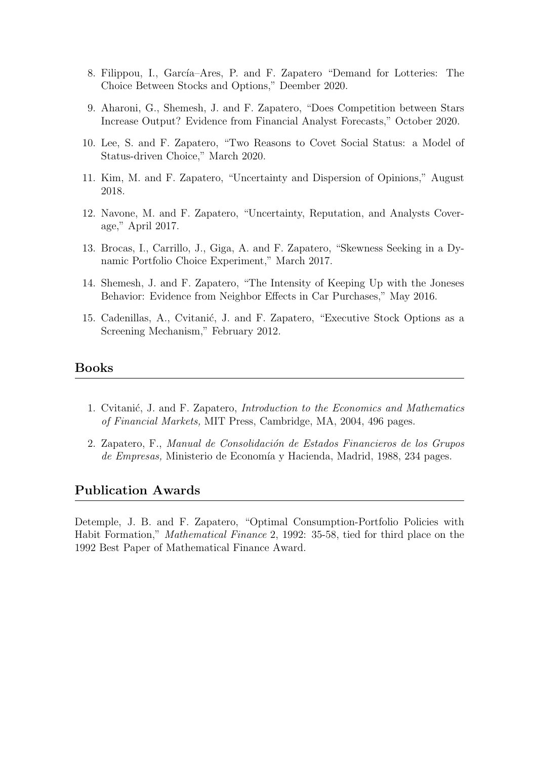- 8. Filippou, I., García–Ares, P. and F. Zapatero "Demand for Lotteries: The Choice Between Stocks and Options," Deember 2020.
- 9. Aharoni, G., Shemesh, J. and F. Zapatero, "Does Competition between Stars Increase Output? Evidence from Financial Analyst Forecasts," October 2020.
- 10. Lee, S. and F. Zapatero, "Two Reasons to Covet Social Status: a Model of Status-driven Choice," March 2020.
- 11. Kim, M. and F. Zapatero, "Uncertainty and Dispersion of Opinions," August 2018.
- 12. Navone, M. and F. Zapatero, "Uncertainty, Reputation, and Analysts Coverage," April 2017.
- 13. Brocas, I., Carrillo, J., Giga, A. and F. Zapatero, "Skewness Seeking in a Dynamic Portfolio Choice Experiment," March 2017.
- 14. Shemesh, J. and F. Zapatero, "The Intensity of Keeping Up with the Joneses Behavior: Evidence from Neighbor Effects in Car Purchases," May 2016.
- 15. Cadenillas, A., Cvitanić, J. and F. Zapatero, "Executive Stock Options as a Screening Mechanism," February 2012.

#### Books

- 1. Cvitanić, J. and F. Zapatero, *Introduction to the Economics and Mathematics* of Financial Markets, MIT Press, Cambridge, MA, 2004, 496 pages.
- 2. Zapatero, F., Manual de Consolidación de Estados Financieros de los Grupos de Empresas, Ministerio de Economía y Hacienda, Madrid, 1988, 234 pages.

#### Publication Awards

Detemple, J. B. and F. Zapatero, "Optimal Consumption-Portfolio Policies with Habit Formation," Mathematical Finance 2, 1992: 35-58, tied for third place on the 1992 Best Paper of Mathematical Finance Award.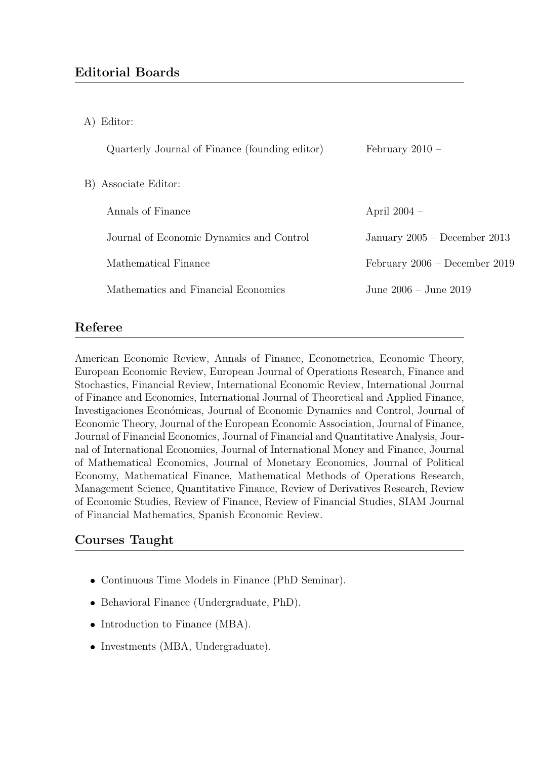A) Editor:

| Quarterly Journal of Finance (founding editor) | February $2010 -$               |
|------------------------------------------------|---------------------------------|
| B) Associate Editor:                           |                                 |
| Annals of Finance                              | April $2004 -$                  |
| Journal of Economic Dynamics and Control       | January 2005 – December 2013    |
| Mathematical Finance                           | February $2006$ – December 2019 |
| Mathematics and Financial Economics            | June 2006 – June 2019           |

## Referee

American Economic Review, Annals of Finance, Econometrica, Economic Theory, European Economic Review, European Journal of Operations Research, Finance and Stochastics, Financial Review, International Economic Review, International Journal of Finance and Economics, International Journal of Theoretical and Applied Finance, Investigaciones Económicas, Journal of Economic Dynamics and Control, Journal of Economic Theory, Journal of the European Economic Association, Journal of Finance, Journal of Financial Economics, Journal of Financial and Quantitative Analysis, Journal of International Economics, Journal of International Money and Finance, Journal of Mathematical Economics, Journal of Monetary Economics, Journal of Political Economy, Mathematical Finance, Mathematical Methods of Operations Research, Management Science, Quantitative Finance, Review of Derivatives Research, Review of Economic Studies, Review of Finance, Review of Financial Studies, SIAM Journal of Financial Mathematics, Spanish Economic Review.

# Courses Taught

- Continuous Time Models in Finance (PhD Seminar).
- Behavioral Finance (Undergraduate, PhD).
- Introduction to Finance (MBA).
- Investments (MBA, Undergraduate).